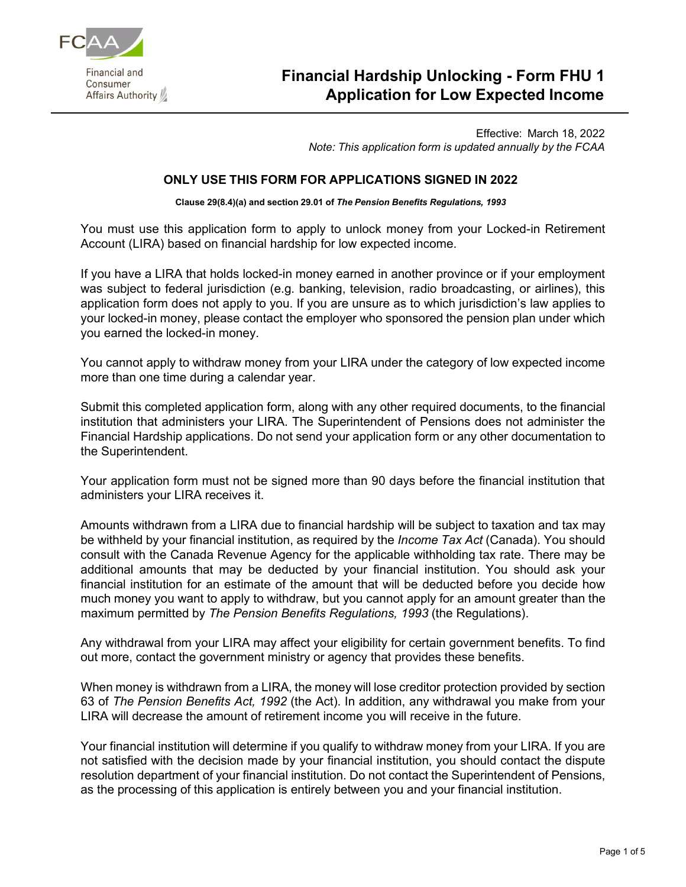

# **Financial Hardship Unlocking - Form FHU 1 Application for Low Expected Income**

Effective: March 18, 2022 *Note: This application form is updated annually by the FCAA*

## **ONLY USE THIS FORM FOR APPLICATIONS SIGNED IN 2022**

**Clause 29(8.4)(a) and section 29.01 of** *The Pension Benefits Regulations, 1993*

You must use this application form to apply to unlock money from your Locked-in Retirement Account (LIRA) based on financial hardship for low expected income.

If you have a LIRA that holds locked-in money earned in another province or if your employment was subject to federal jurisdiction (e.g. banking, television, radio broadcasting, or airlines), this application form does not apply to you. If you are unsure as to which jurisdiction's law applies to your locked-in money, please contact the employer who sponsored the pension plan under which you earned the locked-in money.

You cannot apply to withdraw money from your LIRA under the category of low expected income more than one time during a calendar year.

Submit this completed application form, along with any other required documents, to the financial institution that administers your LIRA. The Superintendent of Pensions does not administer the Financial Hardship applications. Do not send your application form or any other documentation to the Superintendent.

Your application form must not be signed more than 90 days before the financial institution that administers your LIRA receives it.

Amounts withdrawn from a LIRA due to financial hardship will be subject to taxation and tax may be withheld by your financial institution, as required by the *Income Tax Act* (Canada). You should consult with the Canada Revenue Agency for the applicable withholding tax rate. There may be additional amounts that may be deducted by your financial institution. You should ask your financial institution for an estimate of the amount that will be deducted before you decide how much money you want to apply to withdraw, but you cannot apply for an amount greater than the maximum permitted by *The Pension Benefits Regulations, 1993* (the Regulations).

Any withdrawal from your LIRA may affect your eligibility for certain government benefits. To find out more, contact the government ministry or agency that provides these benefits.

When money is withdrawn from a LIRA, the money will lose creditor protection provided by section 63 of *The Pension Benefits Act, 1992* (the Act). In addition, any withdrawal you make from your LIRA will decrease the amount of retirement income you will receive in the future.

Your financial institution will determine if you qualify to withdraw money from your LIRA. If you are not satisfied with the decision made by your financial institution, you should contact the dispute resolution department of your financial institution. Do not contact the Superintendent of Pensions, as the processing of this application is entirely between you and your financial institution.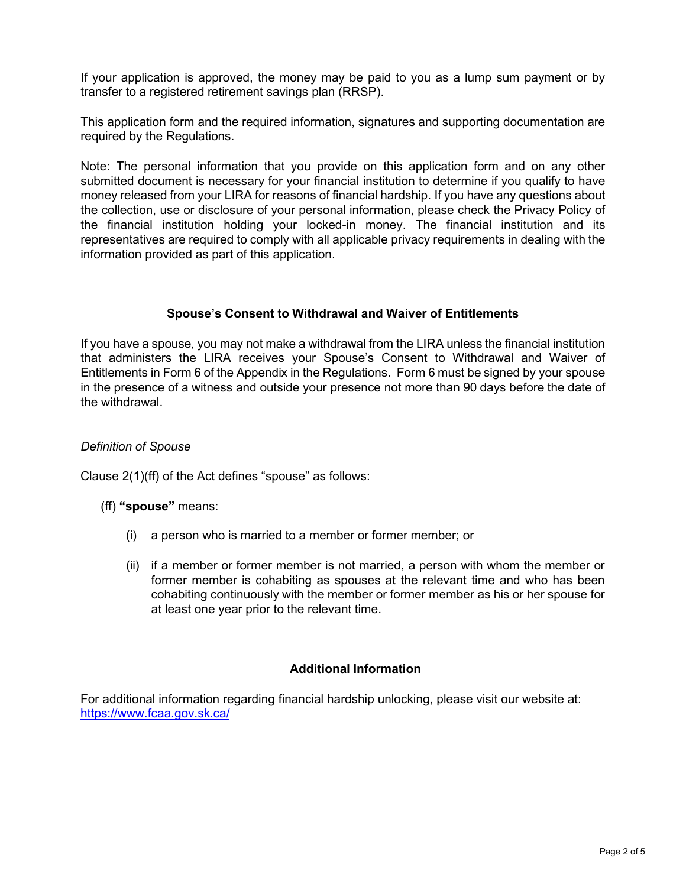If your application is approved, the money may be paid to you as a lump sum payment or by transfer to a registered retirement savings plan (RRSP).

This application form and the required information, signatures and supporting documentation are required by the Regulations.

Note: The personal information that you provide on this application form and on any other submitted document is necessary for your financial institution to determine if you qualify to have money released from your LIRA for reasons of financial hardship. If you have any questions about the collection, use or disclosure of your personal information, please check the Privacy Policy of the financial institution holding your locked-in money. The financial institution and its representatives are required to comply with all applicable privacy requirements in dealing with the information provided as part of this application.

## **Spouse's Consent to Withdrawal and Waiver of Entitlements**

If you have a spouse, you may not make a withdrawal from the LIRA unless the financial institution that administers the LIRA receives your Spouse's Consent to Withdrawal and Waiver of Entitlements in Form 6 of the Appendix in the Regulations. Form 6 must be signed by your spouse in the presence of a witness and outside your presence not more than 90 days before the date of the withdrawal.

### *Definition of Spouse*

Clause 2(1)(ff) of the Act defines "spouse" as follows:

#### (ff) **"spouse"** means:

- (i) a person who is married to a member or former member; or
- (ii) if a member or former member is not married, a person with whom the member or former member is cohabiting as spouses at the relevant time and who has been cohabiting continuously with the member or former member as his or her spouse for at least one year prior to the relevant time.

## **Additional Information**

For additional information regarding financial hardship unlocking, please visit our website at: <https://www.fcaa.gov.sk.ca/>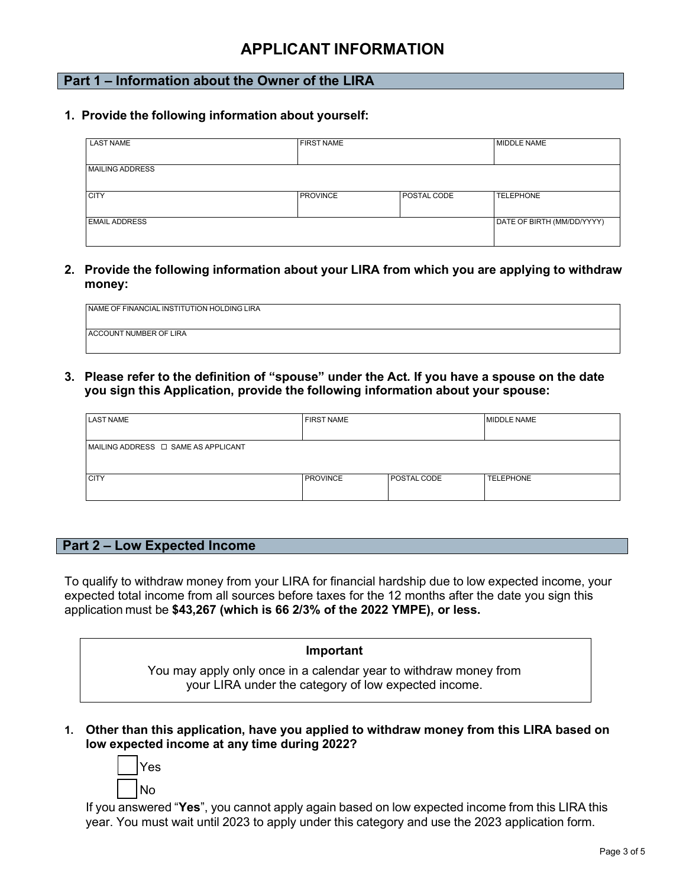# **APPLICANT INFORMATION**

# **Part 1 – Information about the Owner of the LIRA**

**1. Provide the following information about yourself:**

| <b>LAST NAME</b>       | <b>FIRST NAME</b> |             | MIDDLE NAME                |
|------------------------|-------------------|-------------|----------------------------|
| <b>MAILING ADDRESS</b> |                   |             |                            |
| <b>CITY</b>            | <b>PROVINCE</b>   | POSTAL CODE | <b>TELEPHONE</b>           |
| <b>EMAIL ADDRESS</b>   |                   |             | DATE OF BIRTH (MM/DD/YYYY) |

**2. Provide the following information about your LIRA from which you are applying to withdraw money:**

| NAME OF FINANCIAL INSTITUTION HOLDING LIRA |  |
|--------------------------------------------|--|
|                                            |  |
| <b>ACCOUNT NUMBER OF LIRA</b>              |  |
|                                            |  |

**3. Please refer to the definition of "spouse" under the Act***.* **If you have a spouse on the date you sign this Application, provide the following information about your spouse:**

| <b>LAST NAME</b>                         | <b>FIRST NAME</b> |             | <b>MIDDLE NAME</b> |  |
|------------------------------------------|-------------------|-------------|--------------------|--|
|                                          |                   |             |                    |  |
| MAILING ADDRESS $\Box$ SAME AS APPLICANT |                   |             |                    |  |
|                                          |                   |             |                    |  |
|                                          |                   |             |                    |  |
| <b>CITY</b>                              | <b>PROVINCE</b>   | POSTAL CODE | <b>TELEPHONE</b>   |  |
|                                          |                   |             |                    |  |

#### **Part 2 – Low Expected Income**

To qualify to withdraw money from your LIRA for financial hardship due to low expected income, your expected total income from all sources before taxes for the 12 months after the date you sign this application must be **\$43,267 (which is 66 2/3% of the 2022 YMPE), or less.**

#### **Important**

You may apply only once in a calendar year to withdraw money from your LIRA under the category of low expected income.

**1. Other than this application, have you applied to withdraw money from this LIRA based on low expected income at any time during 2022?**

| es<br>Y |
|---------|
| No      |

If you answered "**Yes**", you cannot apply again based on low expected income from this LIRA this year. You must wait until 2023 to apply under this category and use the 2023 application form.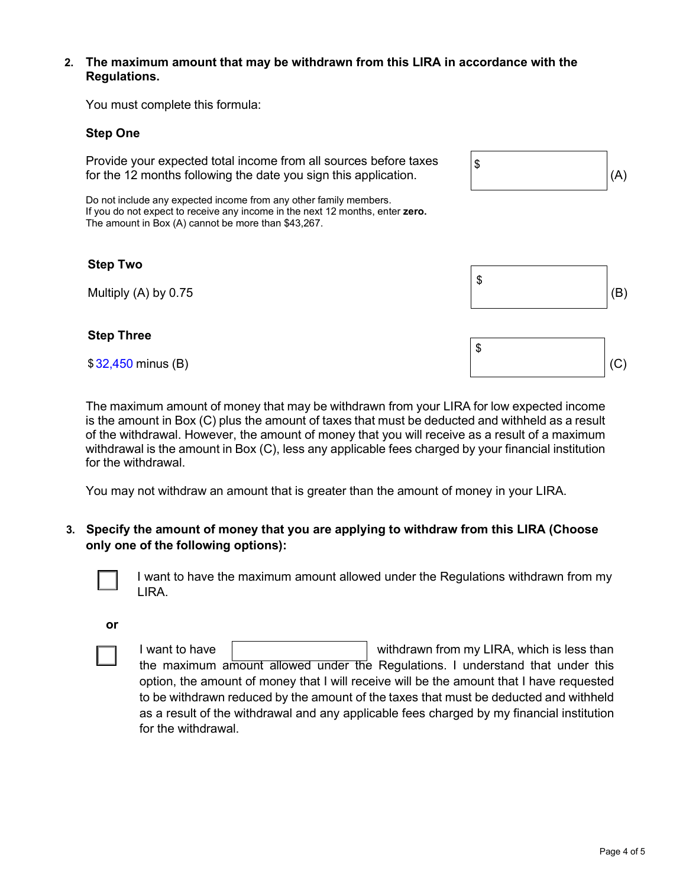## **2. The maximum amount that may be withdrawn from this LIRA in accordance with the Regulations.**

You must complete this formula:

# **Step One**

Provide your expected total income from all sources before taxes for the 12 months following the date you sign this application.  $\vert(A) \vert$ 

Do not include any expected income from any other family members. If you do not expect to receive any income in the next 12 months, enter **zero.** The amount in Box (A) cannot be more than \$43,267.

## **Step Two**

## **Step Three**

The maximum amount of money that may be withdrawn from your LIRA for low expected income is the amount in Box (C) plus the amount of taxes that must be deducted and withheld as a result of the withdrawal. However, the amount of money that you will receive as a result of a maximum withdrawal is the amount in Box (C), less any applicable fees charged by your financial institution for the withdrawal.

You may not withdraw an amount that is greater than the amount of money in your LIRA.

**3. Specify the amount of money that you are applying to withdraw from this LIRA (Choose only one of the following options):**



I want to have the maximum amount allowed under the Regulations withdrawn from my LIRA.

**or**



I want to have  $\parallel$  withdrawn from my LIRA, which is less than the maximum amount allowed under the Regulations. I understand that under this option, the amount of money that I will receive will be the amount that I have requested to be withdrawn reduced by the amount of the taxes that must be deducted and withheld as a result of the withdrawal and any applicable fees charged by my financial institution for the withdrawal.